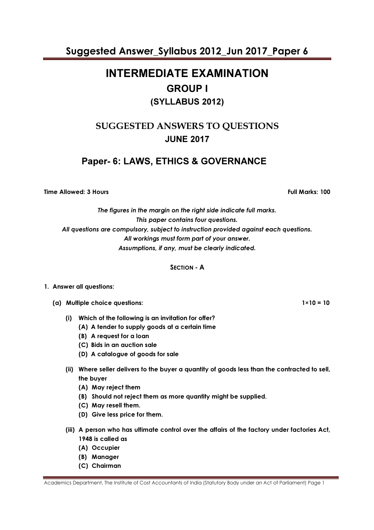# INTERMEDIATE EXAMINATION GROUP I (SYLLABUS 2012)

### SUGGESTED ANSWERS TO QUESTIONS JUNE 2017

### Paper- 6: LAWS, ETHICS & GOVERNANCE

Time Allowed: 3 Hours **Full Marks: 100** 

The figures in the margin on the right side indicate full marks. This paper contains four questions. All questions are compulsory, subject to instruction provided against each questions. All workings must form part of your answer. Assumptions, if any, must be clearly indicated.

SECTION - A

#### 1. Answer all questions:

(a) Multiple choice questions:  $1 \times 10 = 10$ 

- (i) Which of the following is an invitation for offer?
	- (A) A tender to supply goods at a certain time
	- (B) A request for a loan
	- (C) Bids in an auction sale
	- (D) A catalogue of goods for sale
- (ii) Where seller delivers to the buyer a quantity of goods less than the contracted to sell, the buyer
	- (A) May reject them
	- (B) Should not reject them as more quantity might be supplied.
	- (C) May resell them.
	- (D) Give less price for them.
- (iii) A person who has ultimate control over the affairs of the factory under factories Act, 1948 is called as
	- (A) Occupier
	- (B) Manager
	- (C) Chairman

Academics Department, The Institute of Cost Accountants of India (Statutory Body under an Act of Parliament) Page 1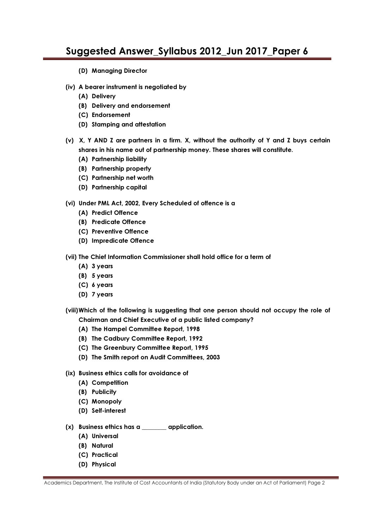- (D) Managing Director
- (iv) A bearer instrument is negotiated by
	- (A) Delivery
	- (B) Delivery and endorsement
	- (C) Endorsement
	- (D) Stamping and attestation
- (v) X, Y AND Z are partners in a firm. X, without the authority of Y and Z buys certain shares in his name out of partnership money. These shares will constitute.
	- (A) Partnership liability
	- (B) Partnership property
	- (C) Partnership net worth
	- (D) Partnership capital
- (vi) Under PML Act, 2002, Every Scheduled of offence is a
	- (A) Predict Offence
	- (B) Predicate Offence
	- (C) Preventive Offence
	- (D) Impredicate Offence
- (vii) The Chief Information Commissioner shall hold office for a term of
	- (A) 3 years
	- (B) 5 years
	- (C) 6 years
	- (D) 7 years
- (viii) Which of the following is suggesting that one person should not occupy the role of Chairman and Chief Executive of a public listed company?
	- (A) The Hampel Committee Report, 1998
	- (B) The Cadbury Committee Report, 1992
	- (C) The Greenbury Committee Report, 1995
	- (D) The Smith report on Audit Committees, 2003
- (ix) Business ethics calls for avoidance of
	- (A) Competition
	- (B) Publicity
	- (C) Monopoly
	- (D) Self-interest
- (x) Business ethics has a \_\_\_\_\_\_\_\_ application.
	- (A) Universal
	- (B) Natural
	- (C) Practical
	- (D) Physical

Academics Department, The Institute of Cost Accountants of India (Statutory Body under an Act of Parliament) Page 2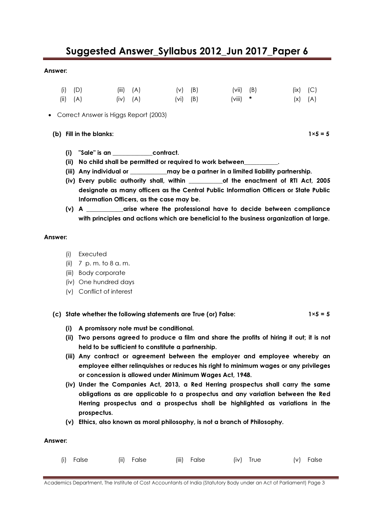#### Answer:

| $(i)$ $(D)$ | $(iii)$ $(A)$ | $(V)$ (B)    | $(vii)$ (B) | $(ix)$ $(C)$ |  |
|-------------|---------------|--------------|-------------|--------------|--|
| (ii) (A)    | $(iv)$ $(A)$  | $(vi)$ $(B)$ | $(viii)$ *  | $(X)$ $(A)$  |  |

• Correct Answer is Higgs Report (2003)

(b) Fill in the blanks:  $1 \times 5 = 5$ 

- (i) "Sale" is an \_\_\_\_\_\_\_\_\_\_\_\_\_contract.
- (ii) No child shall be permitted or required to work between
- (iii) Any individual or \_\_\_\_\_\_\_\_\_\_\_ may be a partner in a limited liability partnership.
- (iv) Every public authority shall, within \_\_\_\_\_\_\_\_\_\_\_of the enactment of RTI Act, 2005 designate as many officers as the Central Public Information Officers or State Public Information Officers, as the case may be.
- (v) A \_\_\_\_\_\_\_\_\_\_\_\_arise where the professional have to decide between compliance with principles and actions which are beneficial to the business organization at large.

#### Answer:

- (i) Executed
- (ii) 7 p. m. to 8 a. m.
- (iii) Body corporate
- (iv) One hundred days
- (v) Conflict of interest

(c) State whether the following statements are True (or) False:  $1 \times 5 = 5$ 

- (i) A promissory note must be conditional.
- (ii) Two persons agreed to produce a film and share the profits of hiring it out; it is not held to be sufficient to constitute a partnership.
- (iii) Any contract or agreement between the employer and employee whereby an employee either relinquishes or reduces his right to minimum wages or any privileges or concession is allowed under Minimum Wages Act, 1948.
- (iv) Under the Companies Act, 2013, a Red Herring prospectus shall carry the same obligations as are applicable to a prospectus and any variation between the Red Herring prospectus and a prospectus shall be highlighted as variations in the prospectus.
- (v) Ethics, also known as moral philosophy, is not a branch of Philosophy.

#### Answer:

| (i) False<br>(iii) False<br>(ii) False<br>(iv) True | (v) False |
|-----------------------------------------------------|-----------|
|-----------------------------------------------------|-----------|

Academics Department, The Institute of Cost Accountants of India (Statutory Body under an Act of Parliament) Page 3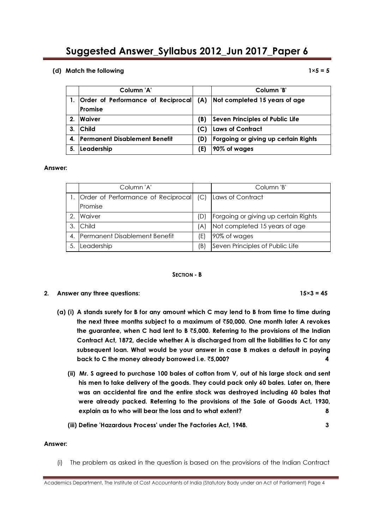#### (d) Match the following  $1\times 5 = 5$

|                | Column 'A'                              |     | Column 'B'                           |
|----------------|-----------------------------------------|-----|--------------------------------------|
|                | 1.   Order of Performance of Reciprocal |     | (A) Not completed 15 years of age    |
|                | Promise                                 |     |                                      |
| 2 <sub>1</sub> | <b>Waiver</b>                           | B)  | Seven Principles of Public Life      |
| 3.             | <b>Child</b>                            | (C) | Laws of Contract                     |
| 4.             | <b>Permanent Disablement Benefit</b>    | (D) | Forgoing or giving up certain Rights |
| 5.             | Leadership                              | (E) | 90% of wages                         |

#### Answer:

|    | Column 'A'                              |     | Column 'B'                           |
|----|-----------------------------------------|-----|--------------------------------------|
|    | Order of Performance of Reciprocal  (C) |     | Laws of Contract                     |
|    | Promise                                 |     |                                      |
| 2. | Waiver                                  | (D) | Forgoing or giving up certain Rights |
| 3. | Child                                   | (A) | Not completed 15 years of age        |
| 4. | <b>Permanent Disablement Benefit</b>    | (E) | 90% of wages                         |
| 5. | Leadership                              | (B) | Seven Principles of Public Life      |

#### SECTION - B

#### 2. Answer any three questions:  $15\times3 = 45$

- (a) (i) A stands surety for B for any amount which C may lend to B from time to time during the next three months subject to a maximum of  $\bar{z}50,000$ . One month later A revokes the guarantee, when C had lent to B  $\overline{5,000}$ . Referring to the provisions of the Indian Contract Act, 1872, decide whether A is discharged from all the liabilities to C for any subsequent loan. What would be your answer in case B makes a default in paying back to C the money already borrowed i.e.  $\bar{z}5,000$ ? 4
	- (ii) Mr. S agreed to purchase 100 bales of cotton from V, out of his large stock and sent his men to take delivery of the goods. They could pack only 60 bales. Later on, there was an accidental fire and the entire stock was destroyed including 60 bales that were already packed. Referring to the provisions of the Sale of Goods Act, 1930, explain as to who will bear the loss and to what extent? 8
	- (iii) Define 'Hazardous Process' under The Factories Act, 1948. 3

#### Answer:

(i) The problem as asked in the question is based on the provisions of the Indian Contract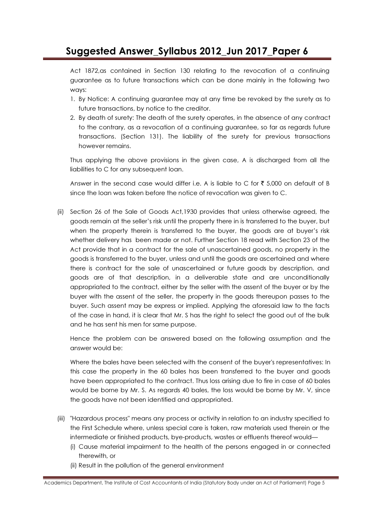Act 1872,as contained in Section 130 relating to the revocation of a continuing guarantee as to future transactions which can be done mainly in the following two ways:

- 1. By Notice: A continuing guarantee may at any time be revoked by the surety as to future transactions, by notice to the creditor.
- 2. By death of surety: The death of the surety operates, in the absence of any contract to the contrary, as a revocation of a continuing guarantee, so far as regards future transactions. (Section 131). The liability of the surety for previous transactions however remains.

Thus applying the above provisions in the given case, A is discharged from all the liabilities to C for any subsequent loan.

Answer in the second case would differ i.e. A is liable to C for  $\bar{\tau}$  5,000 on default of B since the loan was taken before the notice of revocation was given to C.

(ii) Section 26 of the Sale of Goods Act,1930 provides that unless otherwise agreed, the goods remain at the seller's risk until the property there in is transferred to the buyer, but when the property therein is transferred to the buyer, the goods are at buyer's risk whether delivery has been made or not. Further Section 18 read with Section 23 of the Act provide that in a contract for the sale of unascertained goods, no property in the goods is transferred to the buyer, unless and until the goods are ascertained and where there is contract for the sale of unascertained or future goods by description, and goods are of that description, in a deliverable state and are unconditionally appropriated to the contract, either by the seller with the assent of the buyer or by the buyer with the assent of the seller, the property in the goods thereupon passes to the buyer. Such assent may be express or implied. Applying the aforesaid law to the facts of the case in hand, it is clear that Mr. S has the right to select the good out of the bulk and he has sent his men for same purpose.

Hence the problem can be answered based on the following assumption and the answer would be:

Where the bales have been selected with the consent of the buyer's representatives: In this case the property in the 60 bales has been transferred to the buyer and goods have been appropriated to the contract. Thus loss arising due to fire in case of 60 bales would be borne by Mr. S. As regards 40 bales, the loss would be borne by Mr. V, since the goods have not been identified and appropriated.

- (iii) "Hazardous process" means any process or activity in relation to an industry specified to the First Schedule where, unless special care is taken, raw materials used therein or the intermediate or finished products, bye-products, wastes or effluents thereof would—
	- (i) Cause material impairment to the health of the persons engaged in or connected therewith, or
	- (ii) Result in the pollution of the general environment

Academics Department, The Institute of Cost Accountants of India (Statutory Body under an Act of Parliament) Page 5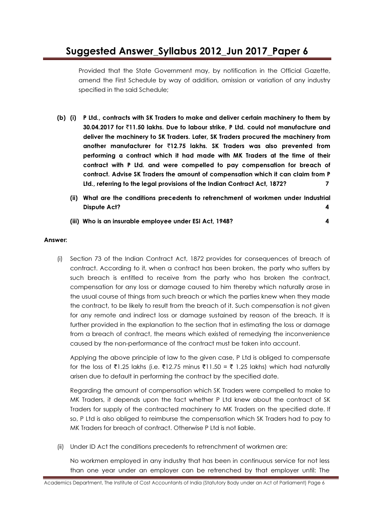Provided that the State Government may, by notification in the Official Gazette, amend the First Schedule by way of addition, omission or variation of any industry specified in the said Schedule;

- (b) (i) P Ltd., contracts with SK Traders to make and deliver certain machinery to them by 30.04.2017 for `11.50 lakhs. Due to labour strike, P Ltd. could not manufacture and deliver the machinery to SK Traders. Later, SK Traders procured the machinery from another manufacturer for  $\overline{212.75}$  lakhs. SK Traders was also prevented from performing a contract which it had made with MK Traders at the time of their contract with P Ltd. and were compelled to pay compensation for breach of contract. Advise SK Traders the amount of compensation which it can claim from P Ltd., referring to the legal provisions of the Indian Contract Act, 1872? 7
	- (ii) What are the conditions precedents to retrenchment of workmen under Industrial Dispute Act? 4
	- (iii) Who is an insurable employee under ESI Act, 1948? 4

#### Answer:

(i) Section 73 of the Indian Contract Act, 1872 provides for consequences of breach of contract. According to it, when a contract has been broken, the party who suffers by such breach is entitled to receive from the party who has broken the contract, compensation for any loss or damage caused to him thereby which naturally arose in the usual course of things from such breach or which the parties knew when they made the contract, to be likely to result from the breach of it. Such compensation is not given for any remote and indirect loss or damage sustained by reason of the breach. It is further provided in the explanation to the section that in estimating the loss or damage from a breach of contract, the means which existed of remedying the inconvenience caused by the non-performance of the contract must be taken into account.

Applying the above principle of law to the given case, P Ltd is obliged to compensate for the loss of ₹1.25 lakhs (i.e. ₹12.75 minus ₹11.50 = ₹ 1.25 lakhs) which had naturally arisen due to default in performing the contract by the specified date.

Regarding the amount of compensation which SK Traders were compelled to make to MK Traders, it depends upon the fact whether P Ltd knew about the contract of SK Traders for supply of the contracted machinery to MK Traders on the specified date. If so, P Ltd is also obliged to reimburse the compensation which SK Traders had to pay to MK Traders for breach of contract. Otherwise P Ltd is not liable.

(ii) Under ID Act the conditions precedents to retrenchment of workmen are:

No workmen employed in any industry that has been in continuous service for not less than one year under an employer can be retrenched by that employer until: The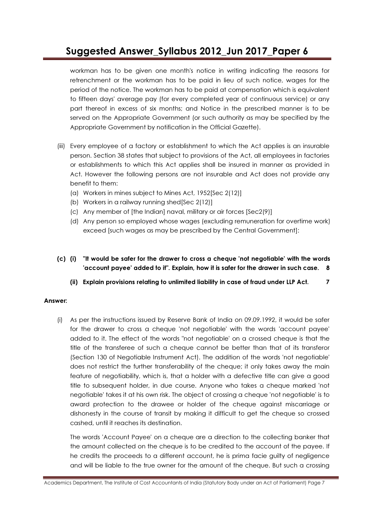workman has to be given one month's notice in writing indicating the reasons for retrenchment or the workman has to be paid in lieu of such notice, wages for the period of the notice. The workman has to be paid at compensation which is equivalent to fifteen days' average pay (for every completed year of continuous service) or any part thereof in excess of six months; and Notice in the prescribed manner is to be served on the Appropriate Government (or such authority as may be specified by the Appropriate Government by notification in the Official Gazette).

- (iii) Every employee of a factory or establishment to which the Act applies is an insurable person. Section 38 states that subject to provisions of the Act, all employees in factories or establishments to which this Act applies shall be insured in manner as provided in Act. However the following persons are not insurable and Act does not provide any benefit to them:
	- (a) Workers in mines subject to Mines Act, 1952[Sec 2(12)]
	- (b) Workers in a railway running shed[Sec 2(12)]
	- (c) Any member of [the Indian] naval, military or air forces [Sec2(9)]
	- (d) Any person so employed whose wages (excluding remuneration for overtime work) exceed [such wages as may be prescribed by the Central Government]:
- (c) (i) "It would be safer for the drawer to cross a cheque 'not negotiable' with the words 'account payee' added to it". Explain, how it is safer for the drawer in such case. 8
	- (ii) Explain provisions relating to unlimited liability in case of fraud under LLP Act. 7

#### Answer:

(i) As per the instructions issued by Reserve Bank of India on 09.09.1992, it would be safer for the drawer to cross a cheque 'not negotiable' with the words 'account payee' added to it. The effect of the words "not negotiable' on a crossed cheque is that the title of the transferee of such a cheque cannot be better than that of its transferor (Section 130 of Negotiable Instrument Act). The addition of the words 'not negotiable' does not restrict the further transferability of the cheque; it only takes away the main feature of negotiability, which is, that a holder with a defective title can give a good title to subsequent holder, in due course. Anyone who takes a cheque marked 'not negotiable' takes it at his own risk. The object of crossing a cheque 'not negotiable' is to award protection to the drawee or holder of the cheque against miscarriage or dishonesty in the course of transit by making it difficult to get the cheque so crossed cashed, until it reaches its destination.

The words 'Account Payee' on a cheque are a direction to the collecting banker that the amount collected on the cheque is to be credited to the account of the payee. If he credits the proceeds to a different account, he is prima facie guilty of negligence and will be liable to the true owner for the amount of the cheque. But such a crossing

Academics Department, The Institute of Cost Accountants of India (Statutory Body under an Act of Parliament) Page 7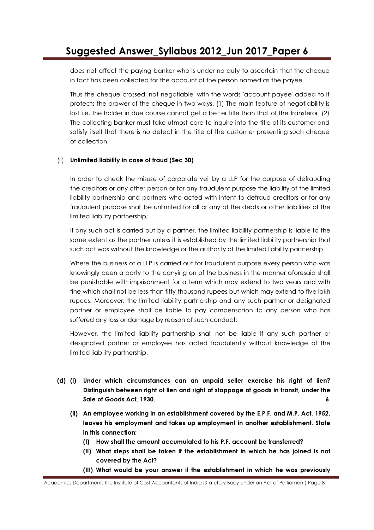does not affect the paying banker who is under no duty to ascertain that the cheque in fact has been collected for the account of the person named as the payee.

Thus the cheque crossed 'not negotiable' with the words 'account payee' added to it protects the drawer of the cheque in two ways. (1) The main feature of negotiability is lost i.e. the holder in due course cannot get a better title than that of the transferor. (2) The collecting banker must take utmost care to inquire into the title of its customer and satisfy itself that there is no defect in the title of the customer presenting such cheque of collection.

#### (ii) Unlimited liability in case of fraud (Sec 30)

In order to check the misuse of corporate veil by a LLP for the purpose of defrauding the creditors or any other person or for any fraudulent purpose the liability of the limited liability partnership and partners who acted with intent to defraud creditors or for any fraudulent purpose shall be unlimited for all or any of the debts or other liabilities of the limited liability partnership;

If any such act is carried out by a partner, the limited liability partnership is liable to the same extent as the partner unless it is established by the limited liability partnership that such act was without the knowledge or the authority of the limited liability partnership.

Where the business of a LLP is carried out for fraudulent purpose every person who was knowingly been a party to the carrying on of the business in the manner aforesaid shall be punishable with imprisonment for a term which may extend to two years and with fine which shall not be less than fifty thousand rupees but which may extend to five lakh rupees. Moreover, the limited liability partnership and any such partner or designated partner or employee shall be liable to pay compensation to any person who has suffered any loss or damage by reason of such conduct:

However, the limited liability partnership shall not be liable if any such partner or designated partner or employee has acted fraudulently without knowledge of the limited liability partnership.

- (d) (i) Under which circumstances can an unpaid seller exercise his right of lien? Distinguish between right of lien and right of stoppage of goods in transit, under the Sale of Goods Act, 1930. 6
	- (ii) An employee working in an establishment covered by the E.P.F. and M.P. Act, 1952, leaves his employment and takes up employment in another establishment. State in this connection:
		- (I) How shall the amount accumulated to his P.F. account be transferred?
		- (II) What steps shall be taken if the establishment in which he has joined is not covered by the Act?
		- (III) What would be your answer if the establishment in which he was previously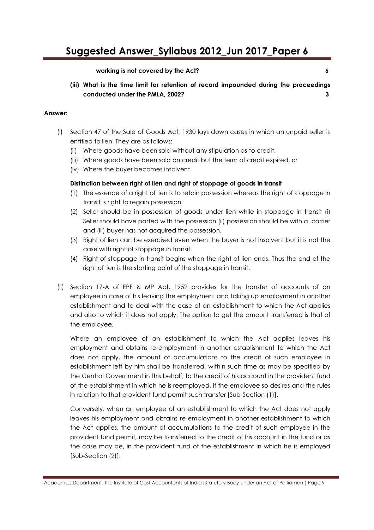#### working is not covered by the Act? 6

(iii) What is the time limit for retention of record impounded during the proceedings conducted under the PMLA, 2002? 3

#### Answer:

- (i) Section 47 of the Sale of Goods Act, 1930 lays down cases in which an unpaid seller is entitled to lien. They are as follows:
	- (ii) Where goods have been sold without any stipulation as to credit.
	- (iii) Where goods have been sold on credit but the term of credit expired, or
	- (iv) Where the buyer becomes insolvent.

#### Distinction between right of lien and right of stoppage of goods in transit

- (1) The essence of a right of lien is to retain possession whereas the right of stoppage in transit is right to regain possession.
- (2) Seller should be in possession of goods under lien while in stoppage in transit (i) Seller should have parted with the possession (ii) possession should be with a .carrier and (iii) buyer has not acquired the possession.
- (3) Right of lien can be exercised even when the buyer is not insolvent but it is not the case with right of stoppage in transit.
- (4) Right of stoppage in transit begins when the right of lien ends. Thus the end of the right of lien is the starting point of the stoppage in transit.
- (ii) Section 17-A of EPF & MP Act. 1952 provides for the transfer of accounts of an employee in case of his leaving the employment and taking up employment in another establishment and to deal with the case of an establishment to which the Act applies and also to which it does not apply. The option to get the amount transferred is that of the employee.

Where an employee of an establishment to which the Act applies leaves his employment and obtains re-employment in another establishment to which the Act does not apply, the amount of accumulations to the credit of such employee in establishment left by him shall be transferred, within such time as may be specified by the Central Government in this behalf, to the credit of his account in the provident fund of the establishment in which he is reemployed, if the employee so desires and the rules in relation to that provident fund permit such transfer [Sub-Section (1)].

Conversely, when an employee of an establishment to which the Act does not apply leaves his employment and obtains re-employment in another establishment to which the Act applies, the amount of accumulations to the credit of such employee in the provident fund permit, may be transferred to the credit of his account in the fund or as the case may be, in the provident fund of the establishment in which he is employed [Sub-Section (2)].

Academics Department, The Institute of Cost Accountants of India (Statutory Body under an Act of Parliament) Page 9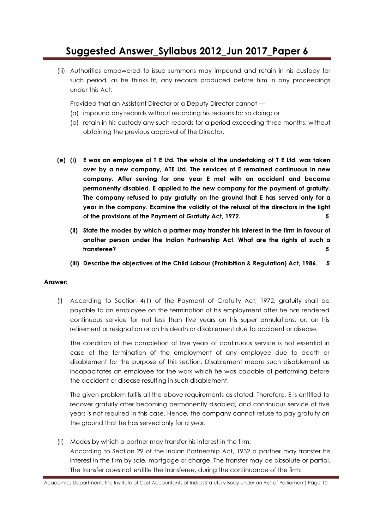(iii) Authorities empowered to issue summons may impound and retain in his custody for such period, as he thinks fit, any records produced before him in any proceedings under this Act:

Provided that an Assistant Director or a Deputy Director cannot —

- (a) impound any records without recording his reasons for so doing; or
- (b) retain in his custody any such records for a period exceeding three months, without obtaining the previous approval of the Director.
- (e) (i) E was an employee of T E Ltd. The whole of the undertaking of T E Ltd. was taken over by a new company, ATE Ltd. The services of E remained continuous in new company. After serving for one year E met with an accident and became permanently disabled. E applied to the new company for the payment of gratuity. The company refused to pay gratuity on the ground that E has served only for a year in the company. Examine the validity of the refusal of the directors in the light of the provisions of the Payment of Gratuity Act, 1972. 5
	- (ii) State the modes by which a partner may transfer his interest in the firm in favour of another person under the Indian Partnership Act. What are the rights of such a transferee? 5
	- (iii) Describe the objectives of the Child Labour (Prohibition & Regulation) Act, 1986. 5

#### Answer:

(i) According to Section 4(1) of the Payment of Gratuity Act, 1972, gratuity shall be payable to an employee on the termination of his employment after he has rendered continuous service for not less than five years on his super annulations, or, on his retirement or resignation or on his death or disablement due to accident or disease.

The condition of the completion of five years of continuous service is not essential in case of the termination of the employment of any employee due to death or disablement for the purpose of this section. Disablement means such disablement as incapacitates an employee for the work which he was capable of performing before the accident or disease resulting in such disablement.

The given problem fulfils all the above requirements as stated. Therefore, E is entitled to recover gratuity after becoming permanently disabled, and continuous service of five years is not required in this case. Hence, the company cannot refuse to pay gratuity on the ground that he has served only for a year.

(ii) Modes by which a partner may transfer his interest in the firm: According to Section 29 of the Indian Partnership Act, 1932 a partner may transfer his interest in the firm by sale, mortgage or charge. The transfer may be absolute or partial. The transfer does not entitle the transferee, during the continuance of the firm:

Academics Department, The Institute of Cost Accountants of India (Statutory Body under an Act of Parliament) Page 10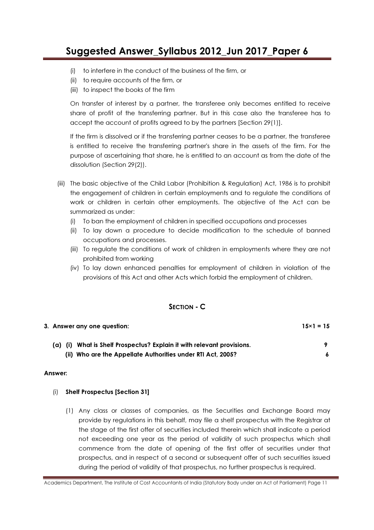- (i) to interfere in the conduct of the business of the firm, or
- (ii) to require accounts of the firm, or
- (iii) to inspect the books of the firm

On transfer of interest by a partner, the transferee only becomes entitled to receive share of profit of the transferring partner. But in this case also the transferee has to accept the account of profits agreed to by the partners [Section 29(1)].

If the firm is dissolved or if the transferring partner ceases to be a partner, the transferee is entitled to receive the transferring partner's share in the assets of the firm. For the purpose of ascertaining that share, he is entitled to an account as from the date of the dissolution (Section 29(2)).

- (iii) The basic objective of the Child Labor (Prohibition & Regulation) Act, 1986 is to prohibit the engagement of children in certain employments and to regulate the conditions of work or children in certain other employments. The objective of the Act can be summarized as under:
	- (i) To ban the employment of children in specified occupations and processes
	- (ii) To lay down a procedure to decide modification to the schedule of banned occupations and processes.
	- (iii) To regulate the conditions of work of children in employments where they are not prohibited from working
	- (iv) To lay down enhanced penalties for employment of children in violation of the provisions of this Act and other Acts which forbid the employment of children.

### SECTION - C

| 3. Answer any one question:                                                 | $15\times1=15$ |  |
|-----------------------------------------------------------------------------|----------------|--|
| What is Shelf Prospectus? Explain it with relevant provisions.<br>$(a)$ (i) |                |  |
| (ii) Who are the Appellate Authorities under RTI Act, 2005?                 |                |  |

#### Answer:

#### (i) Shelf Prospectus [Section 31]

(1) Any class or classes of companies, as the Securities and Exchange Board may provide by regulations in this behalf, may file a shelf prospectus with the Registrar at the stage of the first offer of securities included therein which shall indicate a period not exceeding one year as the period of validity of such prospectus which shall commence from the date of opening of the first offer of securities under that prospectus, and in respect of a second or subsequent offer of such securities issued during the period of validity of that prospectus, no further prospectus is required.

Academics Department, The Institute of Cost Accountants of India (Statutory Body under an Act of Parliament) Page 11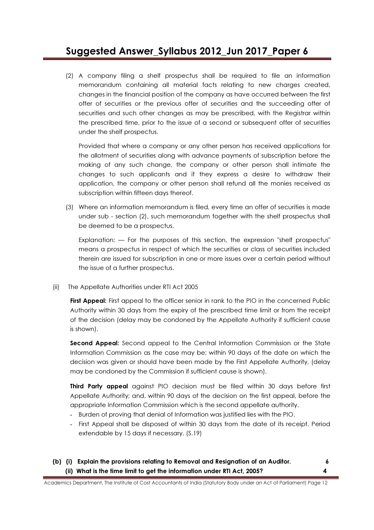(2) A company filing a shelf prospectus shall be required to file an information memorandum containing all material facts relating to new charges created, changes in the financial position of the company as have occurred between the first offer of securities or the previous offer of securities and the succeeding offer of securities and such other changes as may be prescribed, with the Registrar within the prescribed time, prior to the issue of a second or subsequent offer of securities under the shelf prospectus.

Provided that where a company or any other person has received applications for the allotment of securities along with advance payments of subscription before the making of any such change, the company or other person shall intimate the changes to such applicants and if they express a desire to withdraw their application, the company or other person shall refund all the monies received as subscription within fifteen days thereof.

(3) Where an information memorandum is filed, every time an offer of securities is made under sub - section (2), such memorandum together with the shelf prospectus shall be deemed to be a prospectus.

Explanation: — For the purposes of this section, the expression "shelf prospectus" means a prospectus in respect of which the securities or class of securities included therein are issued for subscription in one or more issues over a certain period without the issue of a further prospectus.

(ii) The Appellate Authorities under RTI Act 2005

First Appeal: First appeal to the officer senior in rank to the PIO in the concerned Public Authority within 30 days from the expiry of the prescribed time limit or from the receipt of the decision (delay may be condoned by the Appellate Authority if sufficient cause is shown).

Second Appeal: Second appeal to the Central Information Commission or the State Information Commission as the case may be; within 90 days of the date on which the decision was given or should have been made by the First Appellate Authority, (delay may be condoned by the Commission if sufficient cause is shown).

**Third Party appeal** against PIO decision must be filed within 30 days before first Appellate Authority; and, within 90 days of the decision on the first appeal, before the appropriate Information Commission which is the second appellate authority.

- Burden of proving that denial of Information was justified lies with the PIO.
- First Appeal shall be disposed of within 30 days from the date of its receipt. Period extendable by 15 days if necessary. (S.19)
- (b) (i) Explain the provisions relating to Removal and Resignation of an Auditor. 6 (ii) What is the time limit to get the information under RTI Act, 2005? 4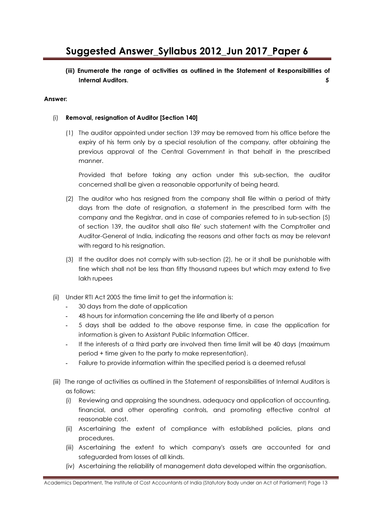(iii) Enumerate the range of activities as outlined in the Statement of Responsibilities of Internal Auditors. 5

#### Answer:

#### (i) Removal, resignation of Auditor [Section 140]

(1) The auditor appointed under section 139 may be removed from his office before the expiry of his term only by a special resolution of the company, after obtaining the previous approval of the Central Government in that behalf in the prescribed manner.

Provided that before taking any action under this sub-section, the auditor concerned shall be given a reasonable opportunity of being heard.

- (2) The auditor who has resigned from the company shall file within a period of thirty days from the date of resignation, a statement in the prescribed form with the company and the Registrar, and in case of companies referred to in sub-section (5) of section 139, the auditor shall also file' such statement with the Comptroller and Auditor-General of India, indicating the reasons and other facts as may be relevant with regard to his resignation.
- (3) If the auditor does not comply with sub-section (2), he or it shall be punishable with fine which shall not be less than fifty thousand rupees but which may extend to five lakh rupees
- (ii) Under RTI Act 2005 the time limit to get the information is:
	- 30 days from the date of application
	- 48 hours for information concerning the life and liberty of a person
	- 5 days shall be added to the above response time, in case the application for information is given to Assistant Public Information Officer.
	- If the interests of a third party are involved then time limit will be 40 days (maximum period + time given to the party to make representation).
	- Failure to provide information within the specified period is a deemed refusal
- (iii) The range of activities as outlined in the Statement of responsibilities of Internal Auditors is as follows:
	- (i) Reviewing and appraising the soundness, adequacy and application of accounting, financial, and other operating controls, and promoting effective control at reasonable cost.
	- (ii) Ascertaining the extent of compliance with established policies, plans and procedures.
	- (iii) Ascertaining the extent to which company's assets are accounted for and safeguarded from losses of all kinds.
	- (iv) Ascertaining the reliability of management data developed within the organisation.

Academics Department, The Institute of Cost Accountants of India (Statutory Body under an Act of Parliament) Page 13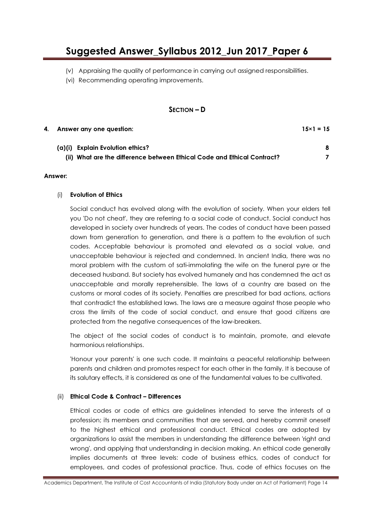- (v) Appraising the quality of performance in carrying out assigned responsibilities.
- (vi) Recommending operating improvements.

#### SECTION – D

| 4. | Answer any one question:                                                | $15 \times 1 = 15$ |
|----|-------------------------------------------------------------------------|--------------------|
|    | (a)(i) Explain Evolution ethics?                                        | 8                  |
|    | (ii) What are the difference between Ethical Code and Ethical Contract? |                    |

#### Answer:

#### (i) Evolution of Ethics

Social conduct has evolved along with the evolution of society. When your elders tell you 'Do not cheat', they are referring to a social code of conduct. Social conduct has developed in society over hundreds of years. The codes of conduct have been passed down from generation to generation, and there is a pattern to the evolution of such codes. Acceptable behaviour is promoted and elevated as a social value, and unacceptable behaviour is rejected and condemned. In ancient India, there was no moral problem with the custom of sati-immolating the wife on the funeral pyre or the deceased husband. But society has evolved humanely and has condemned the act as unacceptable and morally reprehensible. The laws of a country are based on the customs or moral codes of its society. Penalties are prescribed for bad actions, actions that contradict the established laws. The laws are a measure against those people who cross the limits of the code of social conduct, and ensure that good citizens are protected from the negative consequences of the law-breakers.

The object of the social codes of conduct is to maintain, promote, and elevate harmonious relationships.

'Honour your parents' is one such code. It maintains a peaceful relationship between parents and children and promotes respect for each other in the family. It is because of its salutary effects, it is considered as one of the fundamental values to be cultivated.

#### (ii) Ethical Code & Contract – Differences

Ethical codes or code of ethics are guidelines intended to serve the interests of a profession; its members and communities that are served, and hereby commit oneself to the highest ethical and professional conduct. Ethical codes are adopted by organizations lo assist the members in understanding the difference between 'right and wrong', and applying that understanding in decision making. An ethical code generally implies documents at three levels: code of business ethics, codes of conduct for employees, and codes of professional practice. Thus, code of ethics focuses on the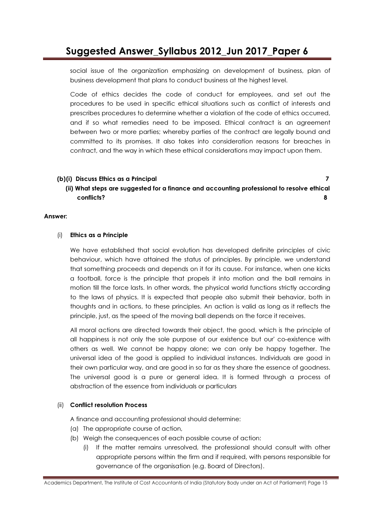social issue of the organization emphasizing on development of business, plan of business development that plans to conduct business at the highest level.

Code of ethics decides the code of conduct for employees, and set out the procedures to be used in specific ethical situations such as conflict of interests and prescribes procedures to determine whether a violation of the code of ethics occurred, and if so what remedies need to be imposed. Ethical contract is an agreement between two or more parties; whereby parties of the contract are legally bound and committed to its promises. It also takes into consideration reasons for breaches in contract, and the way in which these ethical considerations may impact upon them.

#### (b)(i) Discuss Ethics as a Principal 7

(ii) What steps are suggested for a finance and accounting professional to resolve ethical conflicts? 8

#### Answer:

#### (i) Ethics as a Principle

We have established that social evolution has developed definite principles of civic behaviour, which have attained the status of principles. By principle, we understand that something proceeds and depends on it for its cause. For instance, when one kicks a football, force is the principle that propels it into motion and the ball remains in motion till the force lasts. In other words, the physical world functions strictly according to the laws of physics. It is expected that people also submit their behavior, both in thoughts and in actions, to these principles. An action is valid as long as it reflects the principle, just, as the speed of the moving ball depends on the force it receives.

All moral actions are directed towards their object, the good, which is the principle of all happiness is not only the sole purpose of our existence but our' co-existence with others as well. We cannot be happy alone; we can only be happy together. The universal idea of the good is applied to individual instances. Individuals are good in their own particular way, and are good in so far as they share the essence of goodness. The universal good is a pure or general idea. It is formed through a process of abstraction of the essence from individuals or particulars

#### (ii) Conflict resolution Process

A finance and accounting professional should determine:

- (a) The appropriate course of action,
- (b) Weigh the consequences of each possible course of action:
	- (i) If the matter remains unresolved, the professional should consult with other appropriate persons within the firm and if required, with persons responsible for governance of the organisation (e.g. Board of Directors).

Academics Department, The Institute of Cost Accountants of India (Statutory Body under an Act of Parliament) Page 15